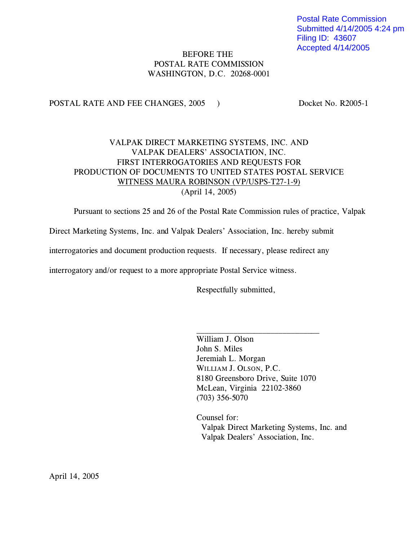Postal Rate Commission Submitted 4/14/2005 4:24 pm Filing ID: 43607 Accepted 4/14/2005

# BEFORE THE POSTAL RATE COMMISSION WASHINGTON, D.C. 20268-0001

POSTAL RATE AND FEE CHANGES, 2005 ) Docket No. R2005-1

# VALPAK DIRECT MARKETING SYSTEMS, INC. AND VALPAK DEALERS' ASSOCIATION, INC. FIRST INTERROGATORIES AND REQUESTS FOR PRODUCTION OF DOCUMENTS TO UNITED STATES POSTAL SERVICE WITNESS MAURA ROBINSON (VP/USPS-T27-1-9) (April 14, 2005)

Pursuant to sections 25 and 26 of the Postal Rate Commission rules of practice, Valpak

Direct Marketing Systems, Inc. and Valpak Dealers' Association, Inc. hereby submit

interrogatories and document production requests. If necessary, please redirect any

interrogatory and/or request to a more appropriate Postal Service witness.

Respectfully submitted,

William J. Olson John S. Miles Jeremiah L. Morgan WILLIAM J. OLSON, P.C. 8180 Greensboro Drive, Suite 1070 McLean, Virginia 22102-3860 (703) 356-5070

 $\overline{\phantom{a}}$  , where  $\overline{\phantom{a}}$  , where  $\overline{\phantom{a}}$  , where  $\overline{\phantom{a}}$  , where  $\overline{\phantom{a}}$ 

Counsel for: Valpak Direct Marketing Systems, Inc. and Valpak Dealers' Association, Inc.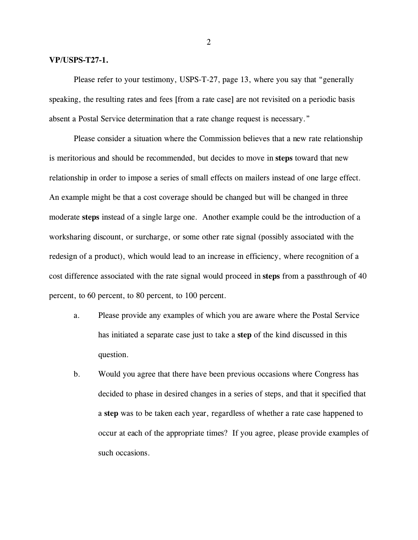#### **VP/USPS-T27-1.**

Please refer to your testimony, USPS-T-27, page 13, where you say that "generally speaking, the resulting rates and fees [from a rate case] are not revisited on a periodic basis absent a Postal Service determination that a rate change request is necessary."

Please consider a situation where the Commission believes that a new rate relationship is meritorious and should be recommended, but decides to move in **steps** toward that new relationship in order to impose a series of small effects on mailers instead of one large effect. An example might be that a cost coverage should be changed but will be changed in three moderate **steps** instead of a single large one. Another example could be the introduction of a worksharing discount, or surcharge, or some other rate signal (possibly associated with the redesign of a product), which would lead to an increase in efficiency, where recognition of a cost difference associated with the rate signal would proceed in **steps** from a passthrough of 40 percent, to 60 percent, to 80 percent, to 100 percent.

- a. Please provide any examples of which you are aware where the Postal Service has initiated a separate case just to take a **step** of the kind discussed in this question.
- b. Would you agree that there have been previous occasions where Congress has decided to phase in desired changes in a series of steps, and that it specified that a **step** was to be taken each year, regardless of whether a rate case happened to occur at each of the appropriate times? If you agree, please provide examples of such occasions.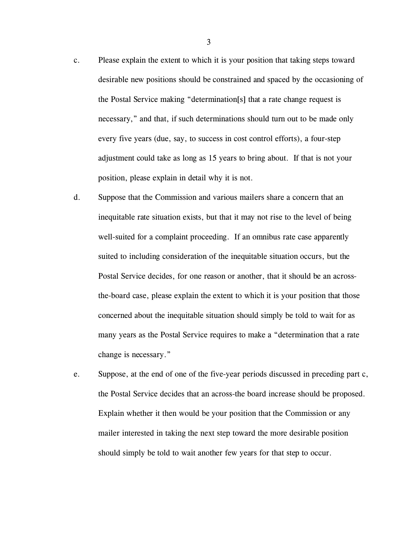- c. Please explain the extent to which it is your position that taking steps toward desirable new positions should be constrained and spaced by the occasioning of the Postal Service making "determination[s] that a rate change request is necessary," and that, if such determinations should turn out to be made only every five years (due, say, to success in cost control efforts), a four-step adjustment could take as long as 15 years to bring about. If that is not your position, please explain in detail why it is not.
- d. Suppose that the Commission and various mailers share a concern that an inequitable rate situation exists, but that it may not rise to the level of being well-suited for a complaint proceeding. If an omnibus rate case apparently suited to including consideration of the inequitable situation occurs, but the Postal Service decides, for one reason or another, that it should be an acrossthe-board case, please explain the extent to which it is your position that those concerned about the inequitable situation should simply be told to wait for as many years as the Postal Service requires to make a "determination that a rate change is necessary."
- e. Suppose, at the end of one of the five-year periods discussed in preceding part c, the Postal Service decides that an across-the board increase should be proposed. Explain whether it then would be your position that the Commission or any mailer interested in taking the next step toward the more desirable position should simply be told to wait another few years for that step to occur.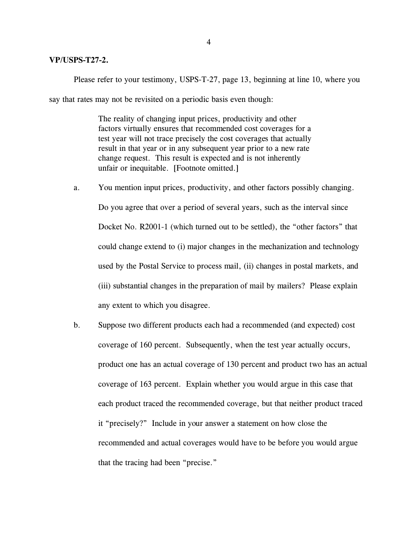#### **VP/USPS-T27-2.**

Please refer to your testimony, USPS-T-27, page 13, beginning at line 10, where you say that rates may not be revisited on a periodic basis even though:

> The reality of changing input prices, productivity and other factors virtually ensures that recommended cost coverages for a test year will not trace precisely the cost coverages that actually result in that year or in any subsequent year prior to a new rate change request. This result is expected and is not inherently unfair or inequitable. [Footnote omitted.]

- a. You mention input prices, productivity, and other factors possibly changing. Do you agree that over a period of several years, such as the interval since Docket No. R2001-1 (which turned out to be settled), the "other factors" that could change extend to (i) major changes in the mechanization and technology used by the Postal Service to process mail, (ii) changes in postal markets, and (iii) substantial changes in the preparation of mail by mailers? Please explain any extent to which you disagree.
- b. Suppose two different products each had a recommended (and expected) cost coverage of 160 percent. Subsequently, when the test year actually occurs, product one has an actual coverage of 130 percent and product two has an actual coverage of 163 percent. Explain whether you would argue in this case that each product traced the recommended coverage, but that neither product traced it "precisely?" Include in your answer a statement on how close the recommended and actual coverages would have to be before you would argue that the tracing had been "precise."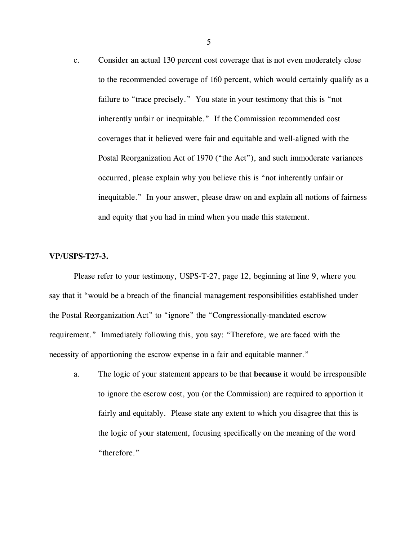c. Consider an actual 130 percent cost coverage that is not even moderately close to the recommended coverage of 160 percent, which would certainly qualify as a failure to "trace precisely." You state in your testimony that this is "not inherently unfair or inequitable." If the Commission recommended cost coverages that it believed were fair and equitable and well-aligned with the Postal Reorganization Act of 1970 ("the Act"), and such immoderate variances occurred, please explain why you believe this is "not inherently unfair or inequitable." In your answer, please draw on and explain all notions of fairness and equity that you had in mind when you made this statement.

## **VP/USPS-T27-3.**

Please refer to your testimony, USPS-T-27, page 12, beginning at line 9, where you say that it "would be a breach of the financial management responsibilities established under the Postal Reorganization Act" to "ignore" the "Congressionally-mandated escrow requirement." Immediately following this, you say: "Therefore, we are faced with the necessity of apportioning the escrow expense in a fair and equitable manner."

a. The logic of your statement appears to be that **because** it would be irresponsible to ignore the escrow cost, you (or the Commission) are required to apportion it fairly and equitably. Please state any extent to which you disagree that this is the logic of your statement, focusing specifically on the meaning of the word "therefore."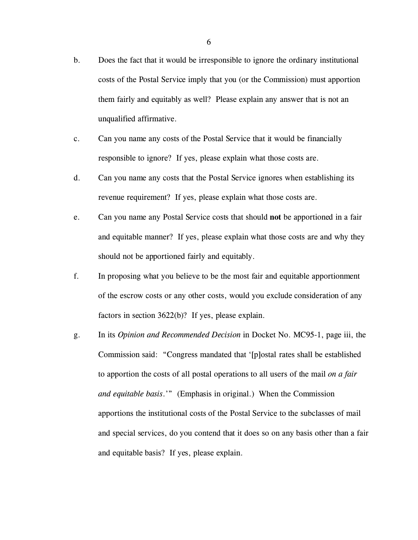- b. Does the fact that it would be irresponsible to ignore the ordinary institutional costs of the Postal Service imply that you (or the Commission) must apportion them fairly and equitably as well? Please explain any answer that is not an unqualified affirmative.
- c. Can you name any costs of the Postal Service that it would be financially responsible to ignore? If yes, please explain what those costs are.
- d. Can you name any costs that the Postal Service ignores when establishing its revenue requirement? If yes, please explain what those costs are.
- e. Can you name any Postal Service costs that should **not** be apportioned in a fair and equitable manner? If yes, please explain what those costs are and why they should not be apportioned fairly and equitably.
- f. In proposing what you believe to be the most fair and equitable apportionment of the escrow costs or any other costs, would you exclude consideration of any factors in section 3622(b)? If yes, please explain.
- g. In its *Opinion and Recommended Decision* in Docket No. MC95-1, page iii, the Commission said: "Congress mandated that '[p]ostal rates shall be established to apportion the costs of all postal operations to all users of the mail *on a fair and equitable basis*.'" (Emphasis in original.) When the Commission apportions the institutional costs of the Postal Service to the subclasses of mail and special services, do you contend that it does so on any basis other than a fair and equitable basis? If yes, please explain.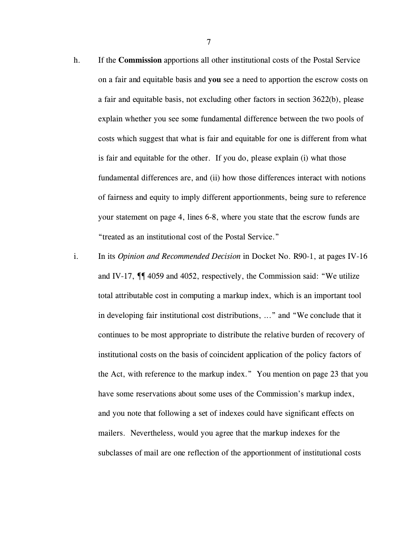- h. If the **Commission** apportions all other institutional costs of the Postal Service on a fair and equitable basis and **you** see a need to apportion the escrow costs on a fair and equitable basis, not excluding other factors in section 3622(b), please explain whether you see some fundamental difference between the two pools of costs which suggest that what is fair and equitable for one is different from what is fair and equitable for the other. If you do, please explain (i) what those fundamental differences are, and (ii) how those differences interact with notions of fairness and equity to imply different apportionments, being sure to reference your statement on page 4, lines 6-8, where you state that the escrow funds are "treated as an institutional cost of the Postal Service."
- i. In its *Opinion and Recommended Decision* in Docket No. R90-1, at pages IV-16 and IV-17, ¶¶ 4059 and 4052, respectively, the Commission said: "We utilize total attributable cost in computing a markup index, which is an important tool in developing fair institutional cost distributions, ..." and "We conclude that it continues to be most appropriate to distribute the relative burden of recovery of institutional costs on the basis of coincident application of the policy factors of the Act, with reference to the markup index." You mention on page 23 that you have some reservations about some uses of the Commission's markup index, and you note that following a set of indexes could have significant effects on mailers. Nevertheless, would you agree that the markup indexes for the subclasses of mail are one reflection of the apportionment of institutional costs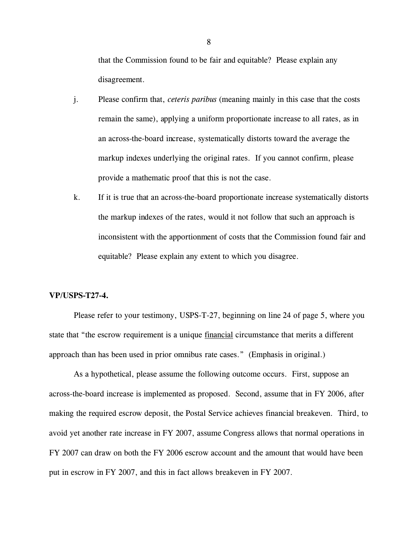that the Commission found to be fair and equitable? Please explain any disagreement.

- j. Please confirm that, *ceteris paribus* (meaning mainly in this case that the costs remain the same), applying a uniform proportionate increase to all rates, as in an across-the-board increase, systematically distorts toward the average the markup indexes underlying the original rates. If you cannot confirm, please provide a mathematic proof that this is not the case.
- k. If it is true that an across-the-board proportionate increase systematically distorts the markup indexes of the rates, would it not follow that such an approach is inconsistent with the apportionment of costs that the Commission found fair and equitable? Please explain any extent to which you disagree.

#### **VP/USPS-T27-4.**

Please refer to your testimony, USPS-T-27, beginning on line 24 of page 5, where you state that "the escrow requirement is a unique financial circumstance that merits a different approach than has been used in prior omnibus rate cases." (Emphasis in original.)

As a hypothetical, please assume the following outcome occurs. First, suppose an across-the-board increase is implemented as proposed. Second, assume that in FY 2006, after making the required escrow deposit, the Postal Service achieves financial breakeven. Third, to avoid yet another rate increase in FY 2007, assume Congress allows that normal operations in FY 2007 can draw on both the FY 2006 escrow account and the amount that would have been put in escrow in FY 2007, and this in fact allows breakeven in FY 2007.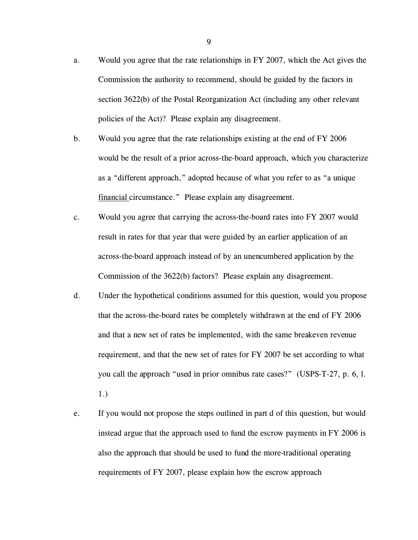- a. Would you agree that the rate relationships in FY 2007, which the Act gives the Commission the authority to recommend, should be guided by the factors in section 3622(b) of the Postal Reorganization Act (including any other relevant policies of the Act)? Please explain any disagreement.
- b. Would you agree that the rate relationships existing at the end of FY 2006 would be the result of a prior across-the-board approach, which you characterize as a "different approach," adopted because of what you refer to as "a unique financial circumstance." Please explain any disagreement.
- c. Would you agree that carrying the across-the-board rates into FY 2007 would result in rates for that year that were guided by an earlier application of an across-the-board approach instead of by an unencumbered application by the Commission of the 3622(b) factors? Please explain any disagreement.
- d. Under the hypothetical conditions assumed for this question, would you propose that the across-the-board rates be completely withdrawn at the end of FY 2006 and that a new set of rates be implemented, with the same breakeven revenue requirement, and that the new set of rates for FY 2007 be set according to what you call the approach "used in prior omnibus rate cases?" (USPS-T-27, p. 6, l. 1.)
- e. If you would not propose the steps outlined in part d of this question, but would instead argue that the approach used to fund the escrow payments in FY 2006 is also the approach that should be used to fund the more-traditional operating requirements of FY 2007, please explain how the escrow approach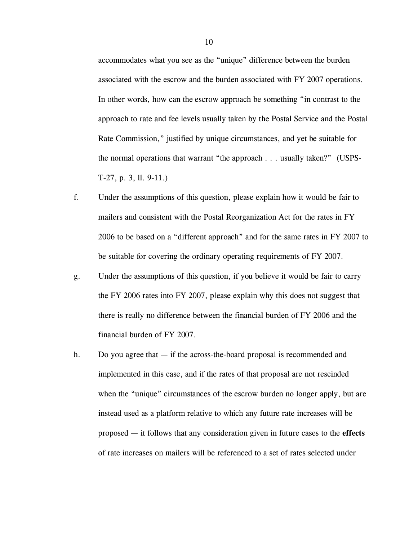accommodates what you see as the "unique" difference between the burden associated with the escrow and the burden associated with FY 2007 operations. In other words, how can the escrow approach be something "in contrast to the approach to rate and fee levels usually taken by the Postal Service and the Postal Rate Commission," justified by unique circumstances, and yet be suitable for the normal operations that warrant "the approach . . . usually taken?" (USPS-T-27, p. 3, ll. 9-11.)

- f. Under the assumptions of this question, please explain how it would be fair to mailers and consistent with the Postal Reorganization Act for the rates in FY 2006 to be based on a "different approach" and for the same rates in FY 2007 to be suitable for covering the ordinary operating requirements of FY 2007.
- g. Under the assumptions of this question, if you believe it would be fair to carry the FY 2006 rates into FY 2007, please explain why this does not suggest that there is really no difference between the financial burden of FY 2006 and the financial burden of FY 2007.
- h. Do you agree that  $-$  if the across-the-board proposal is recommended and implemented in this case, and if the rates of that proposal are not rescinded when the "unique" circumstances of the escrow burden no longer apply, but are instead used as a platform relative to which any future rate increases will be proposed — it follows that any consideration given in future cases to the **effects** of rate increases on mailers will be referenced to a set of rates selected under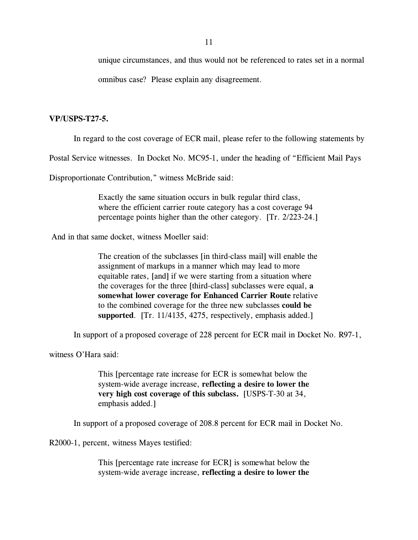unique circumstances, and thus would not be referenced to rates set in a normal

omnibus case? Please explain any disagreement.

### **VP/USPS-T27-5.**

In regard to the cost coverage of ECR mail, please refer to the following statements by

Postal Service witnesses. In Docket No. MC95-1, under the heading of "Efficient Mail Pays

Disproportionate Contribution," witness McBride said:

Exactly the same situation occurs in bulk regular third class, where the efficient carrier route category has a cost coverage 94 percentage points higher than the other category. [Tr. 2/223-24.]

And in that same docket, witness Moeller said:

The creation of the subclasses [in third-class mail] will enable the assignment of markups in a manner which may lead to more equitable rates, [and] if we were starting from a situation where the coverages for the three [third-class] subclasses were equal, **a somewhat lower coverage for Enhanced Carrier Route** relative to the combined coverage for the three new subclasses **could be supported**. [Tr. 11/4135, 4275, respectively, emphasis added.]

In support of a proposed coverage of 228 percent for ECR mail in Docket No. R97-1,

witness O'Hara said:

This [percentage rate increase for ECR is somewhat below the system-wide average increase, **reflecting a desire to lower the very high cost coverage of this subclass.** [USPS-T-30 at 34, emphasis added.]

In support of a proposed coverage of 208.8 percent for ECR mail in Docket No.

R2000-1, percent, witness Mayes testified:

This [percentage rate increase for ECR] is somewhat below the system-wide average increase, **reflecting a desire to lower the**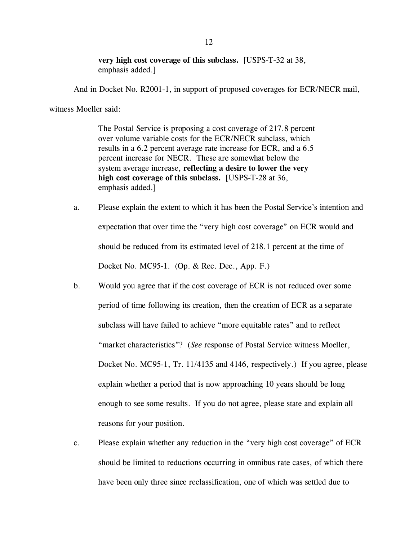**very high cost coverage of this subclass.** [USPS-T-32 at 38, emphasis added.]

And in Docket No. R2001-1, in support of proposed coverages for ECR/NECR mail,

witness Moeller said:

The Postal Service is proposing a cost coverage of 217.8 percent over volume variable costs for the ECR/NECR subclass, which results in a 6.2 percent average rate increase for ECR, and a 6.5 percent increase for NECR. These are somewhat below the system average increase, **reflecting a desire to lower the very high cost coverage of this subclass.** [USPS-T-28 at 36, emphasis added.]

- a. Please explain the extent to which it has been the Postal Service's intention and expectation that over time the "very high cost coverage" on ECR would and should be reduced from its estimated level of 218.1 percent at the time of Docket No. MC95-1. (Op. & Rec. Dec., App. F.)
- b. Would you agree that if the cost coverage of ECR is not reduced over some period of time following its creation, then the creation of ECR as a separate subclass will have failed to achieve "more equitable rates" and to reflect "market characteristics"? (*See* response of Postal Service witness Moeller, Docket No. MC95-1, Tr. 11/4135 and 4146, respectively.) If you agree, please explain whether a period that is now approaching 10 years should be long enough to see some results. If you do not agree, please state and explain all reasons for your position.
- c. Please explain whether any reduction in the "very high cost coverage" of ECR should be limited to reductions occurring in omnibus rate cases, of which there have been only three since reclassification, one of which was settled due to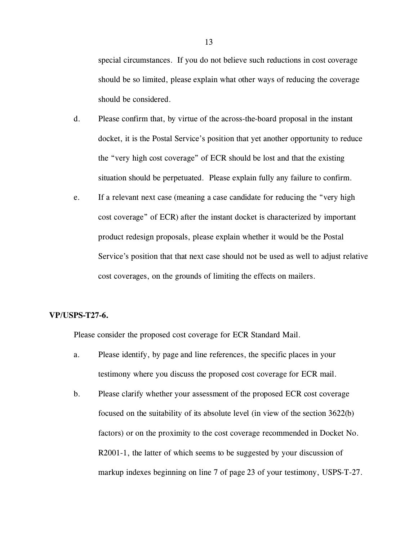special circumstances. If you do not believe such reductions in cost coverage should be so limited, please explain what other ways of reducing the coverage should be considered.

- d. Please confirm that, by virtue of the across-the-board proposal in the instant docket, it is the Postal Service's position that yet another opportunity to reduce the "very high cost coverage" of ECR should be lost and that the existing situation should be perpetuated. Please explain fully any failure to confirm.
- e. If a relevant next case (meaning a case candidate for reducing the "very high cost coverage" of ECR) after the instant docket is characterized by important product redesign proposals, please explain whether it would be the Postal Service's position that that next case should not be used as well to adjust relative cost coverages, on the grounds of limiting the effects on mailers.

## **VP/USPS-T27-6.**

Please consider the proposed cost coverage for ECR Standard Mail.

- a. Please identify, by page and line references, the specific places in your testimony where you discuss the proposed cost coverage for ECR mail.
- b. Please clarify whether your assessment of the proposed ECR cost coverage focused on the suitability of its absolute level (in view of the section 3622(b) factors) or on the proximity to the cost coverage recommended in Docket No. R2001-1, the latter of which seems to be suggested by your discussion of markup indexes beginning on line 7 of page 23 of your testimony, USPS-T-27.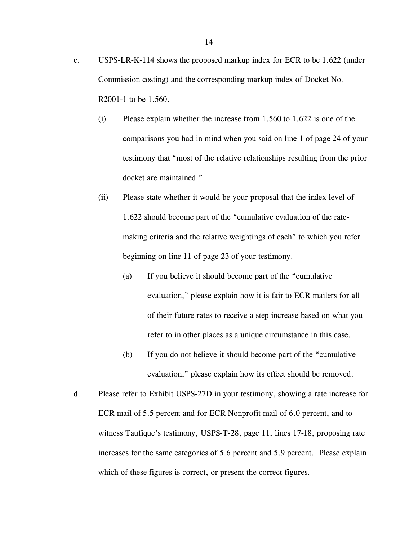- c. USPS-LR-K-114 shows the proposed markup index for ECR to be 1.622 (under Commission costing) and the corresponding markup index of Docket No. R2001-1 to be 1.560.
	- (i) Please explain whether the increase from 1.560 to 1.622 is one of the comparisons you had in mind when you said on line 1 of page 24 of your testimony that "most of the relative relationships resulting from the prior docket are maintained."
	- (ii) Please state whether it would be your proposal that the index level of 1.622 should become part of the "cumulative evaluation of the ratemaking criteria and the relative weightings of each" to which you refer beginning on line 11 of page 23 of your testimony.
		- (a) If you believe it should become part of the "cumulative evaluation," please explain how it is fair to ECR mailers for all of their future rates to receive a step increase based on what you refer to in other places as a unique circumstance in this case.
		- (b) If you do not believe it should become part of the "cumulative evaluation," please explain how its effect should be removed.
- d. Please refer to Exhibit USPS-27D in your testimony, showing a rate increase for ECR mail of 5.5 percent and for ECR Nonprofit mail of 6.0 percent, and to witness Taufique's testimony, USPS-T-28, page 11, lines 17-18, proposing rate increases for the same categories of 5.6 percent and 5.9 percent. Please explain which of these figures is correct, or present the correct figures.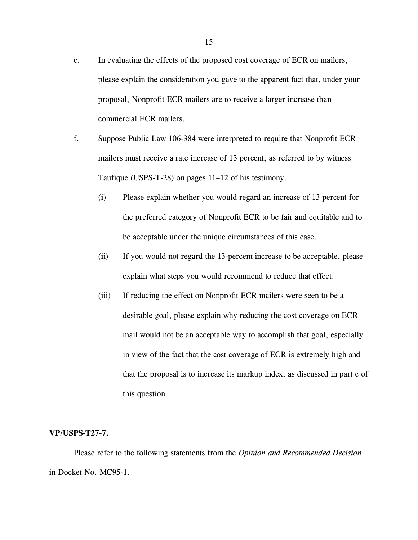- e. In evaluating the effects of the proposed cost coverage of ECR on mailers, please explain the consideration you gave to the apparent fact that, under your proposal, Nonprofit ECR mailers are to receive a larger increase than commercial ECR mailers.
- f. Suppose Public Law 106-384 were interpreted to require that Nonprofit ECR mailers must receive a rate increase of 13 percent, as referred to by witness Taufique (USPS-T-28) on pages 11–12 of his testimony.
	- (i) Please explain whether you would regard an increase of 13 percent for the preferred category of Nonprofit ECR to be fair and equitable and to be acceptable under the unique circumstances of this case.
	- (ii) If you would not regard the 13-percent increase to be acceptable, please explain what steps you would recommend to reduce that effect.
	- (iii) If reducing the effect on Nonprofit ECR mailers were seen to be a desirable goal, please explain why reducing the cost coverage on ECR mail would not be an acceptable way to accomplish that goal, especially in view of the fact that the cost coverage of ECR is extremely high and that the proposal is to increase its markup index, as discussed in part c of this question.

#### **VP/USPS-T27-7.**

Please refer to the following statements from the *Opinion and Recommended Decision* in Docket No. MC95-1.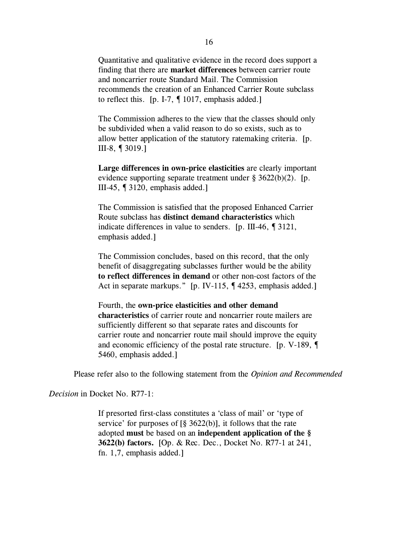Quantitative and qualitative evidence in the record does support a finding that there are **market differences** between carrier route and noncarrier route Standard Mail. The Commission recommends the creation of an Enhanced Carrier Route subclass to reflect this. [p. I-7, ¶ 1017, emphasis added.]

The Commission adheres to the view that the classes should only be subdivided when a valid reason to do so exists, such as to allow better application of the statutory ratemaking criteria. [p. III-8, ¶ 3019.]

**Large differences in own-price elasticities** are clearly important evidence supporting separate treatment under § 3622(b)(2). [p. III-45, ¶ 3120, emphasis added.]

The Commission is satisfied that the proposed Enhanced Carrier Route subclass has **distinct demand characteristics** which indicate differences in value to senders. [p. III-46, ¶ 3121, emphasis added.]

The Commission concludes, based on this record, that the only benefit of disaggregating subclasses further would be the ability **to reflect differences in demand** or other non-cost factors of the Act in separate markups." [p. IV-115, 14253, emphasis added.]

Fourth, the **own-price elasticities and other demand characteristics** of carrier route and noncarrier route mailers are sufficiently different so that separate rates and discounts for carrier route and noncarrier route mail should improve the equity and economic efficiency of the postal rate structure. [p. V-189, ¶ 5460, emphasis added.]

Please refer also to the following statement from the *Opinion and Recommended*

*Decision* in Docket No. R77-1:

If presorted first-class constitutes a 'class of mail' or 'type of service' for purposes of  $\lceil \frac{8}{9} \cdot \frac{3622(b)}{10} \rceil$ , it follows that the rate adopted **must** be based on an **independent application of the § 3622(b) factors.** [Op. & Rec. Dec., Docket No. R77-1 at 241, fn. 1,7, emphasis added.]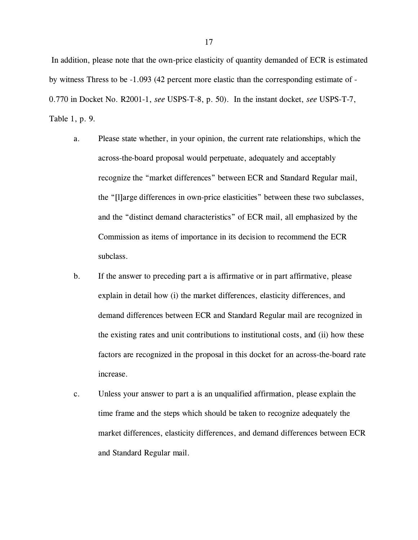In addition, please note that the own-price elasticity of quantity demanded of ECR is estimated by witness Thress to be -1.093 (42 percent more elastic than the corresponding estimate of - 0.770 in Docket No. R2001-1, *see* USPS-T-8, p. 50). In the instant docket, *see* USPS-T-7, Table 1, p. 9.

- a. Please state whether, in your opinion, the current rate relationships, which the across-the-board proposal would perpetuate, adequately and acceptably recognize the "market differences" between ECR and Standard Regular mail, the "[l]arge differences in own-price elasticities" between these two subclasses, and the "distinct demand characteristics" of ECR mail, all emphasized by the Commission as items of importance in its decision to recommend the ECR subclass.
- b. If the answer to preceding part a is affirmative or in part affirmative, please explain in detail how (i) the market differences, elasticity differences, and demand differences between ECR and Standard Regular mail are recognized in the existing rates and unit contributions to institutional costs, and (ii) how these factors are recognized in the proposal in this docket for an across-the-board rate increase.
- c. Unless your answer to part a is an unqualified affirmation, please explain the time frame and the steps which should be taken to recognize adequately the market differences, elasticity differences, and demand differences between ECR and Standard Regular mail.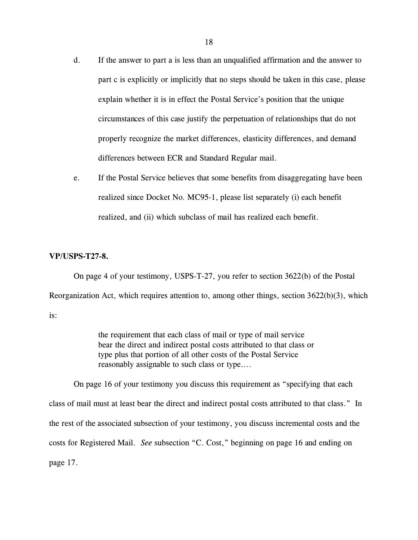- d. If the answer to part a is less than an unqualified affirmation and the answer to part c is explicitly or implicitly that no steps should be taken in this case, please explain whether it is in effect the Postal Service's position that the unique circumstances of this case justify the perpetuation of relationships that do not properly recognize the market differences, elasticity differences, and demand differences between ECR and Standard Regular mail.
- e. If the Postal Service believes that some benefits from disaggregating have been realized since Docket No. MC95-1, please list separately (i) each benefit realized, and (ii) which subclass of mail has realized each benefit.

# **VP/USPS-T27-8.**

On page 4 of your testimony, USPS-T-27, you refer to section 3622(b) of the Postal Reorganization Act, which requires attention to, among other things, section  $3622(b)(3)$ , which is:

> the requirement that each class of mail or type of mail service bear the direct and indirect postal costs attributed to that class or type plus that portion of all other costs of the Postal Service reasonably assignable to such class or type....

On page 16 of your testimony you discuss this requirement as "specifying that each class of mail must at least bear the direct and indirect postal costs attributed to that class." In the rest of the associated subsection of your testimony, you discuss incremental costs and the costs for Registered Mail. *See* subsection "C. Cost," beginning on page 16 and ending on page 17.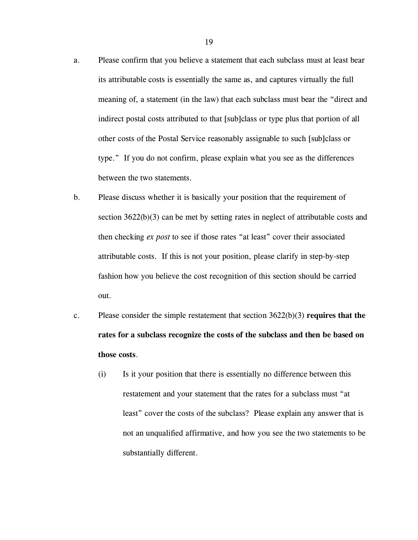- a. Please confirm that you believe a statement that each subclass must at least bear its attributable costs is essentially the same as, and captures virtually the full meaning of, a statement (in the law) that each subclass must bear the "direct and indirect postal costs attributed to that [sub]class or type plus that portion of all other costs of the Postal Service reasonably assignable to such [sub]class or type." If you do not confirm, please explain what you see as the differences between the two statements.
- b. Please discuss whether it is basically your position that the requirement of section 3622(b)(3) can be met by setting rates in neglect of attributable costs and then checking *ex post* to see if those rates "at least" cover their associated attributable costs. If this is not your position, please clarify in step-by-step fashion how you believe the cost recognition of this section should be carried out.
- c. Please consider the simple restatement that section 3622(b)(3) **requires that the rates for a subclass recognize the costs of the subclass and then be based on those costs**.
	- (i) Is it your position that there is essentially no difference between this restatement and your statement that the rates for a subclass must "at least" cover the costs of the subclass? Please explain any answer that is not an unqualified affirmative, and how you see the two statements to be substantially different.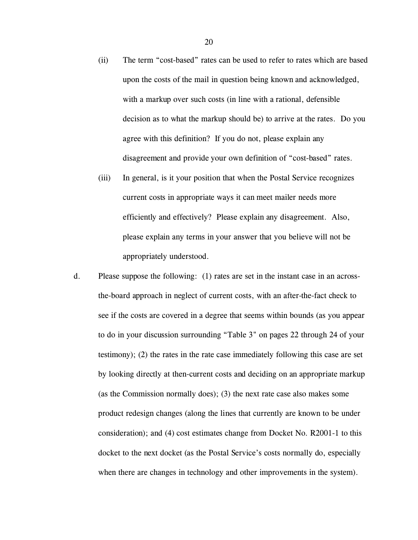- (ii) The term "cost-based" rates can be used to refer to rates which are based upon the costs of the mail in question being known and acknowledged, with a markup over such costs (in line with a rational, defensible decision as to what the markup should be) to arrive at the rates. Do you agree with this definition? If you do not, please explain any disagreement and provide your own definition of "cost-based" rates.
- (iii) In general, is it your position that when the Postal Service recognizes current costs in appropriate ways it can meet mailer needs more efficiently and effectively? Please explain any disagreement. Also, please explain any terms in your answer that you believe will not be appropriately understood.
- d. Please suppose the following: (1) rates are set in the instant case in an acrossthe-board approach in neglect of current costs, with an after-the-fact check to see if the costs are covered in a degree that seems within bounds (as you appear to do in your discussion surrounding "Table 3" on pages 22 through 24 of your testimony); (2) the rates in the rate case immediately following this case are set by looking directly at then-current costs and deciding on an appropriate markup (as the Commission normally does); (3) the next rate case also makes some product redesign changes (along the lines that currently are known to be under consideration); and (4) cost estimates change from Docket No. R2001-1 to this docket to the next docket (as the Postal Service's costs normally do, especially when there are changes in technology and other improvements in the system).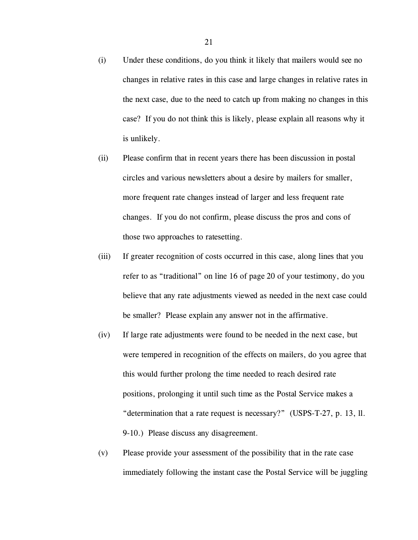- (i) Under these conditions, do you think it likely that mailers would see no changes in relative rates in this case and large changes in relative rates in the next case, due to the need to catch up from making no changes in this case? If you do not think this is likely, please explain all reasons why it is unlikely.
- (ii) Please confirm that in recent years there has been discussion in postal circles and various newsletters about a desire by mailers for smaller, more frequent rate changes instead of larger and less frequent rate changes. If you do not confirm, please discuss the pros and cons of those two approaches to ratesetting.
- (iii) If greater recognition of costs occurred in this case, along lines that you refer to as "traditional" on line 16 of page 20 of your testimony, do you believe that any rate adjustments viewed as needed in the next case could be smaller? Please explain any answer not in the affirmative.
- (iv) If large rate adjustments were found to be needed in the next case, but were tempered in recognition of the effects on mailers, do you agree that this would further prolong the time needed to reach desired rate positions, prolonging it until such time as the Postal Service makes a "determination that a rate request is necessary?" (USPS-T-27, p. 13, ll. 9-10.) Please discuss any disagreement.
- (v) Please provide your assessment of the possibility that in the rate case immediately following the instant case the Postal Service will be juggling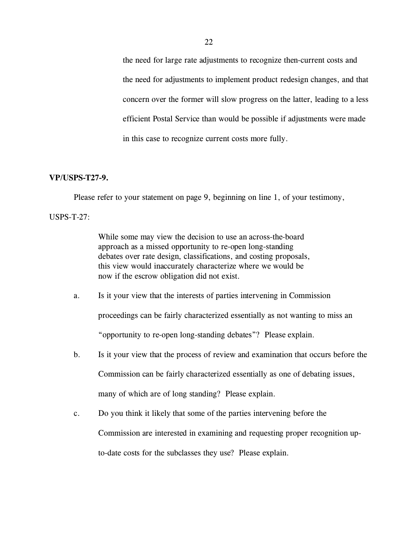the need for large rate adjustments to recognize then-current costs and the need for adjustments to implement product redesign changes, and that concern over the former will slow progress on the latter, leading to a less efficient Postal Service than would be possible if adjustments were made in this case to recognize current costs more fully.

## **VP/USPS-T27-9.**

Please refer to your statement on page 9, beginning on line 1, of your testimony,

#### USPS-T-27:

While some may view the decision to use an across-the-board approach as a missed opportunity to re-open long-standing debates over rate design, classifications, and costing proposals, this view would inaccurately characterize where we would be now if the escrow obligation did not exist.

- a. Is it your view that the interests of parties intervening in Commission proceedings can be fairly characterized essentially as not wanting to miss an "opportunity to re-open long-standing debates"? Please explain.
- b. Is it your view that the process of review and examination that occurs before the Commission can be fairly characterized essentially as one of debating issues, many of which are of long standing? Please explain.
- c. Do you think it likely that some of the parties intervening before the Commission are interested in examining and requesting proper recognition upto-date costs for the subclasses they use? Please explain.